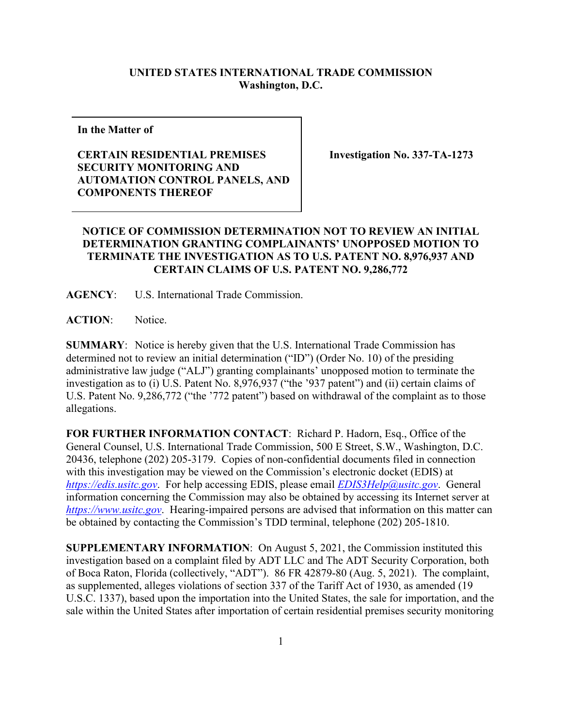## **UNITED STATES INTERNATIONAL TRADE COMMISSION Washington, D.C.**

**In the Matter of**

## **CERTAIN RESIDENTIAL PREMISES SECURITY MONITORING AND AUTOMATION CONTROL PANELS, AND COMPONENTS THEREOF**

**Investigation No. 337-TA-1273**

## **NOTICE OF COMMISSION DETERMINATION NOT TO REVIEW AN INITIAL DETERMINATION GRANTING COMPLAINANTS' UNOPPOSED MOTION TO TERMINATE THE INVESTIGATION AS TO U.S. PATENT NO. 8,976,937 AND CERTAIN CLAIMS OF U.S. PATENT NO. 9,286,772**

**AGENCY**: U.S. International Trade Commission.

**ACTION**: Notice.

**SUMMARY**: Notice is hereby given that the U.S. International Trade Commission has determined not to review an initial determination ("ID") (Order No. 10) of the presiding administrative law judge ("ALJ") granting complainants' unopposed motion to terminate the investigation as to (i) U.S. Patent No. 8,976,937 ("the '937 patent") and (ii) certain claims of U.S. Patent No. 9,286,772 ("the '772 patent") based on withdrawal of the complaint as to those allegations.

**FOR FURTHER INFORMATION CONTACT**: Richard P. Hadorn, Esq., Office of the General Counsel, U.S. International Trade Commission, 500 E Street, S.W., Washington, D.C. 20436, telephone (202) 205-3179. Copies of non-confidential documents filed in connection with this investigation may be viewed on the Commission's electronic docket (EDIS) at *[https://edis.usitc.gov](https://edis.usitc.gov/)*. For help accessing EDIS, please email *[EDIS3Help@usitc.gov](mailto:EDIS3Help@usitc.gov)*. General information concerning the Commission may also be obtained by accessing its Internet server at *[https://www.usitc.gov](https://www.usitc.gov/)*. Hearing-impaired persons are advised that information on this matter can be obtained by contacting the Commission's TDD terminal, telephone (202) 205-1810.

**SUPPLEMENTARY INFORMATION**: On August 5, 2021, the Commission instituted this investigation based on a complaint filed by ADT LLC and The ADT Security Corporation, both of Boca Raton, Florida (collectively, "ADT"). 86 FR 42879-80 (Aug. 5, 2021). The complaint, as supplemented, alleges violations of section 337 of the Tariff Act of 1930, as amended (19 U.S.C. 1337), based upon the importation into the United States, the sale for importation, and the sale within the United States after importation of certain residential premises security monitoring